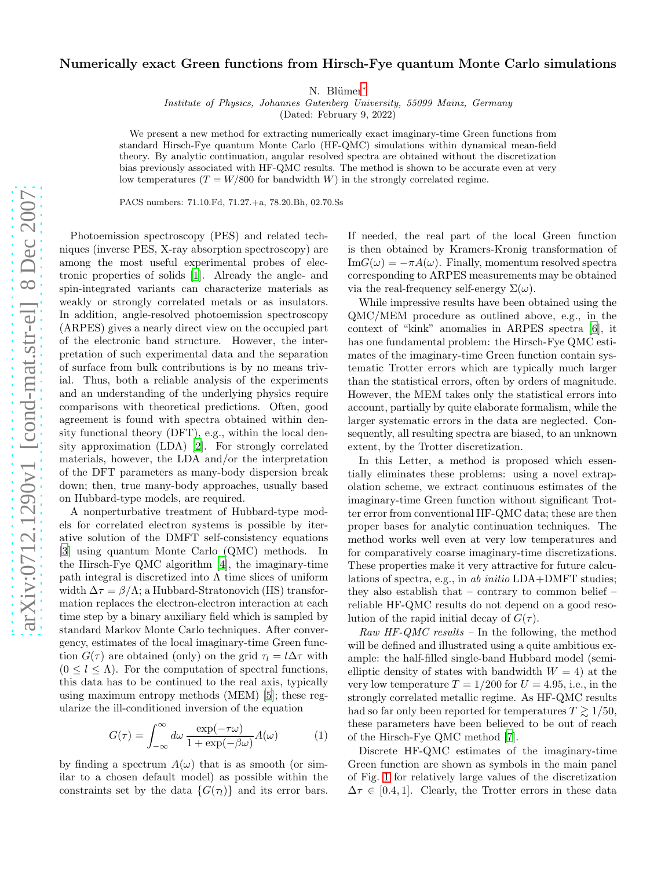## Numerically exact Green functions from Hirsch-Fye quantum Monte Carlo simulations

N. Blümer<sup>\*</sup>

Institute of Physics, Johannes Gutenberg University, 55099 Mainz, Germany

(Dated: February 9, 2022)

We present a new method for extracting numerically exact imaginary-time Green functions from standard Hirsch-Fye quantum Monte Carlo (HF-QMC) simulations within dynamical mean-field theory. By analytic continuation, angular resolved spectra are obtained without the discretization bias previously associated with HF-QMC results. The method is shown to be accurate even at very low temperatures  $(T = W/800$  for bandwidth W) in the strongly correlated regime.

PACS numbers: 71.10.Fd, 71.27.+a, 78.20.Bh, 02.70.Ss

Photoemission spectroscopy (PES) and related techniques (inverse PES, X-ray absorption spectroscopy) are among the most useful experimental probes of electronic properties of solids [\[1](#page-3-1)]. Already the angle- and spin-integrated variants can characterize materials as weakly or strongly correlated metals or as insulators. In addition, angle-resolved photoemission spectroscopy (ARPES) gives a nearly direct view on the occupied part of the electronic band structure. However, the interpretation of such experimental data and the separation of surface from bulk contributions is by no means trivial. Thus, both a reliable analysis of the experiments and an understanding of the underlying physics require comparisons with theoretical predictions. Often, good agreement is found with spectra obtained within density functional theory (DFT), e.g., within the local density approximation (LDA) [\[2\]](#page-3-2). For strongly correlated materials, however, the LDA and/or the interpretation of the DFT parameters as many-body dispersion break down; then, true many-body approaches, usually based on Hubbard-type models, are required.

A nonperturbative treatment of Hubbard-type models for correlated electron systems is possible by iterative solution of the DMFT self-consistency equations [\[3\]](#page-3-3) using quantum Monte Carlo (QMC) methods. In the Hirsch-Fye QMC algorithm [\[4](#page-3-4)], the imaginary-time path integral is discretized into  $\Lambda$  time slices of uniform width  $\Delta \tau = \beta / \Lambda$ ; a Hubbard-Stratonovich (HS) transformation replaces the electron-electron interaction at each time step by a binary auxiliary field which is sampled by standard Markov Monte Carlo techniques. After convergency, estimates of the local imaginary-time Green function  $G(\tau)$  are obtained (only) on the grid  $\tau_l = l\Delta \tau$  with  $(0 \leq l \leq \Lambda)$ . For the computation of spectral functions, this data has to be continued to the real axis, typically using maximum entropy methods (MEM) [\[5\]](#page-3-5); these regularize the ill-conditioned inversion of the equation

<span id="page-0-0"></span>
$$
G(\tau) = \int_{-\infty}^{\infty} d\omega \, \frac{\exp(-\tau \omega)}{1 + \exp(-\beta \omega)} A(\omega) \tag{1}
$$

by finding a spectrum  $A(\omega)$  that is as smooth (or similar to a chosen default model) as possible within the constraints set by the data  $\{G(\tau_l)\}\$ and its error bars. If needed, the real part of the local Green function is then obtained by Kramers-Kronig transformation of  $\text{Im}G(\omega) = -\pi A(\omega)$ . Finally, momentum resolved spectra corresponding to ARPES measurements may be obtained via the real-frequency self-energy  $\Sigma(\omega)$ .

While impressive results have been obtained using the QMC/MEM procedure as outlined above, e.g., in the context of "kink" anomalies in ARPES spectra [\[6\]](#page-3-6), it has one fundamental problem: the Hirsch-Fye QMC estimates of the imaginary-time Green function contain systematic Trotter errors which are typically much larger than the statistical errors, often by orders of magnitude. However, the MEM takes only the statistical errors into account, partially by quite elaborate formalism, while the larger systematic errors in the data are neglected. Consequently, all resulting spectra are biased, to an unknown extent, by the Trotter discretization.

In this Letter, a method is proposed which essentially eliminates these problems: using a novel extrapolation scheme, we extract continuous estimates of the imaginary-time Green function without significant Trotter error from conventional HF-QMC data; these are then proper bases for analytic continuation techniques. The method works well even at very low temperatures and for comparatively coarse imaginary-time discretizations. These properties make it very attractive for future calculations of spectra, e.g., in ab initio LDA+DMFT studies; they also establish that – contrary to common belief – reliable HF-QMC results do not depend on a good resolution of the rapid initial decay of  $G(\tau)$ .

Raw HF-QMC results – In the following, the method will be defined and illustrated using a quite ambitious example: the half-filled single-band Hubbard model (semielliptic density of states with bandwidth  $W = 4$ ) at the very low temperature  $T = 1/200$  for  $U = 4.95$ , i.e., in the strongly correlated metallic regime. As HF-QMC results had so far only been reported for temperatures  $T \geq 1/50$ , these parameters have been believed to be out of reach of the Hirsch-Fye QMC method [\[7](#page-3-7)].

Discrete HF-QMC estimates of the imaginary-time Green function are shown as symbols in the main panel of Fig. [1](#page-1-0) for relatively large values of the discretization  $\Delta \tau \in [0.4, 1]$ . Clearly, the Trotter errors in these data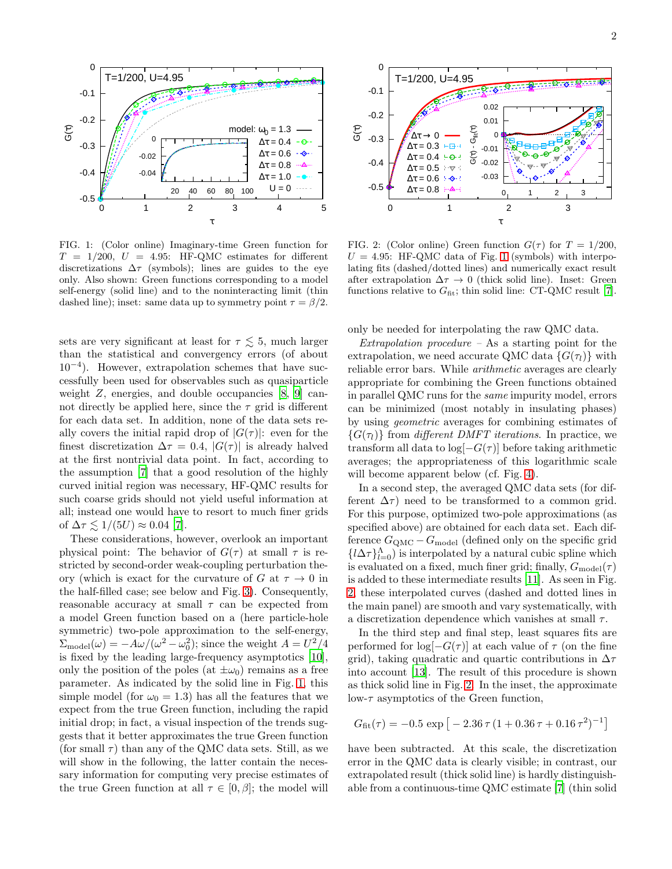

<span id="page-1-0"></span>FIG. 1: (Color online) Imaginary-time Green function for  $T = 1/200, U = 4.95$ : HF-QMC estimates for different discretizations  $\Delta \tau$  (symbols); lines are guides to the eye only. Also shown: Green functions corresponding to a model self-energy (solid line) and to the noninteracting limit (thin dashed line); inset: same data up to symmetry point  $\tau = \beta/2$ .

sets are very significant at least for  $\tau \lesssim 5$ , much larger than the statistical and convergency errors (of about 10<sup>−</sup><sup>4</sup> ). However, extrapolation schemes that have successfully been used for observables such as quasiparticle weight Z, energies, and double occupancies [\[8,](#page-3-8) [9\]](#page-3-9) cannot directly be applied here, since the  $\tau$  grid is different for each data set. In addition, none of the data sets really covers the initial rapid drop of  $|G(\tau)|$ : even for the finest discretization  $\Delta \tau = 0.4$ ,  $|G(\tau)|$  is already halved at the first nontrivial data point. In fact, according to the assumption [\[7\]](#page-3-7) that a good resolution of the highly curved initial region was necessary, HF-QMC results for such coarse grids should not yield useful information at all; instead one would have to resort to much finer grids of  $\Delta \tau \lesssim 1/(5U) \approx 0.04$  [\[7](#page-3-7)].

These considerations, however, overlook an important physical point: The behavior of  $G(\tau)$  at small  $\tau$  is restricted by second-order weak-coupling perturbation theory (which is exact for the curvature of G at  $\tau \to 0$  in the half-filled case; see below and Fig. [3\)](#page-2-0). Consequently, reasonable accuracy at small  $\tau$  can be expected from a model Green function based on a (here particle-hole symmetric) two-pole approximation to the self-energy,  $\Sigma_{\text{model}}(\omega) = -A\omega/(\omega^2 - \omega_0^2)$ ; since the weight  $A = U^2/4$ is fixed by the leading large-frequency asymptotics [\[10\]](#page-3-10), only the position of the poles (at  $\pm \omega_0$ ) remains as a free parameter. As indicated by the solid line in Fig. [1,](#page-1-0) this simple model (for  $\omega_0 = 1.3$ ) has all the features that we expect from the true Green function, including the rapid initial drop; in fact, a visual inspection of the trends suggests that it better approximates the true Green function (for small  $\tau$ ) than any of the QMC data sets. Still, as we will show in the following, the latter contain the necessary information for computing very precise estimates of the true Green function at all  $\tau \in [0, \beta]$ ; the model will



<span id="page-1-1"></span>FIG. 2: (Color online) Green function  $G(\tau)$  for  $T = 1/200$ ,  $U = 4.95$ : HF-QMC data of Fig. [1](#page-1-0) (symbols) with interpolating fits (dashed/dotted lines) and numerically exact result after extrapolation  $\Delta \tau \rightarrow 0$  (thick solid line). Inset: Green functions relative to  $G_{\text{fit}}$ ; thin solid line: CT-QMC result [\[7\]](#page-3-7).

only be needed for interpolating the raw QMC data.

 $Extrapolation$  procedure  $-$  As a starting point for the extrapolation, we need accurate QMC data  $\{G(\tau_l)\}\$ with reliable error bars. While arithmetic averages are clearly appropriate for combining the Green functions obtained in parallel QMC runs for the same impurity model, errors can be minimized (most notably in insulating phases) by using geometric averages for combining estimates of  ${G(\tau)}$  from different DMFT iterations. In practice, we transform all data to  $log[-G(\tau)]$  before taking arithmetic averages; the appropriateness of this logarithmic scale will become apparent below (cf. Fig. [4\)](#page-2-1).

In a second step, the averaged QMC data sets (for different  $\Delta \tau$ ) need to be transformed to a common grid. For this purpose, optimized two-pole approximations (as specified above) are obtained for each data set. Each difference  $G_{\text{QMC}} - G_{\text{model}}$  (defined only on the specific grid  $\{l\Delta\tau\}_{l=0}^{\Lambda}$  is interpolated by a natural cubic spline which is evaluated on a fixed, much finer grid; finally,  $G_{\text{model}}(\tau)$ is added to these intermediate results [\[11\]](#page-3-11). As seen in Fig. [2,](#page-1-1) these interpolated curves (dashed and dotted lines in the main panel) are smooth and vary systematically, with a discretization dependence which vanishes at small  $\tau$ .

In the third step and final step, least squares fits are performed for  $log[-G(\tau)]$  at each value of  $\tau$  (on the fine grid), taking quadratic and quartic contributions in  $\Delta \tau$ into account [\[13](#page-3-12)]. The result of this procedure is shown as thick solid line in Fig. [2.](#page-1-1) In the inset, the approximate  $\text{low-}\tau$  asymptotics of the Green function,

$$
G_{\rm fit}(\tau) = -0.5\; \exp\big[-2.36\,\tau\,(1+0.36\,\tau+0.16\,\tau^2)^{-1}\big]
$$

have been subtracted. At this scale, the discretization error in the QMC data is clearly visible; in contrast, our extrapolated result (thick solid line) is hardly distinguishable from a continuous-time QMC estimate [\[7\]](#page-3-7) (thin solid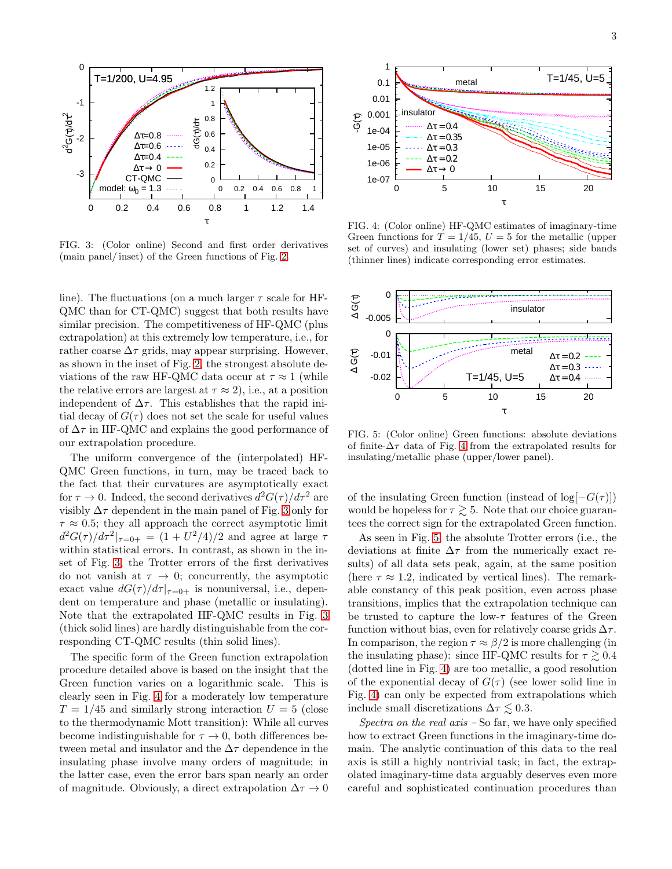

<span id="page-2-0"></span>FIG. 3: (Color online) Second and first order derivatives (main panel/ inset) of the Green functions of Fig. [2.](#page-1-1)

line). The fluctuations (on a much larger  $\tau$  scale for HF-QMC than for CT-QMC) suggest that both results have similar precision. The competitiveness of HF-QMC (plus extrapolation) at this extremely low temperature, i.e., for rather coarse  $\Delta \tau$  grids, may appear surprising. However, as shown in the inset of Fig. [2,](#page-1-1) the strongest absolute deviations of the raw HF-QMC data occur at  $\tau \approx 1$  (while the relative errors are largest at  $\tau \approx 2$ , i.e., at a position independent of  $\Delta \tau$ . This establishes that the rapid initial decay of  $G(\tau)$  does not set the scale for useful values of  $\Delta \tau$  in HF-QMC and explains the good performance of our extrapolation procedure.

The uniform convergence of the (interpolated) HF-QMC Green functions, in turn, may be traced back to the fact that their curvatures are asymptotically exact for  $\tau \to 0$ . Indeed, the second derivatives  $d^2G(\tau)/d\tau^2$  are visibly  $\Delta \tau$  dependent in the main panel of Fig. [3](#page-2-0) only for  $\tau \approx 0.5$ ; they all approach the correct asymptotic limit  $d^2G(\tau)/d\tau^2|_{\tau=0+} = (1 + U^2/4)/2$  and agree at large  $\tau$ within statistical errors. In contrast, as shown in the inset of Fig. [3,](#page-2-0) the Trotter errors of the first derivatives do not vanish at  $\tau \to 0$ ; concurrently, the asymptotic exact value  $dG(\tau)/d\tau|_{\tau=0+}$  is nonuniversal, i.e., dependent on temperature and phase (metallic or insulating). Note that the extrapolated HF-QMC results in Fig. [3](#page-2-0) (thick solid lines) are hardly distinguishable from the corresponding CT-QMC results (thin solid lines).

The specific form of the Green function extrapolation procedure detailed above is based on the insight that the Green function varies on a logarithmic scale. This is clearly seen in Fig. [4](#page-2-1) for a moderately low temperature  $T = 1/45$  and similarly strong interaction  $U = 5$  (close to the thermodynamic Mott transition): While all curves become indistinguishable for  $\tau \to 0$ , both differences between metal and insulator and the  $\Delta \tau$  dependence in the insulating phase involve many orders of magnitude; in the latter case, even the error bars span nearly an order of magnitude. Obviously, a direct extrapolation  $\Delta \tau \to 0$ 



<span id="page-2-1"></span>FIG. 4: (Color online) HF-QMC estimates of imaginary-time Green functions for  $T = 1/45$ ,  $U = 5$  for the metallic (upper set of curves) and insulating (lower set) phases; side bands (thinner lines) indicate corresponding error estimates.



<span id="page-2-2"></span>FIG. 5: (Color online) Green functions: absolute deviations of finite- $\Delta \tau$  data of Fig. [4](#page-2-1) from the extrapolated results for insulating/metallic phase (upper/lower panel).

of the insulating Green function (instead of  $log[-G(\tau)]$ ) would be hopeless for  $\tau \gtrsim 5$ . Note that our choice guarantees the correct sign for the extrapolated Green function.

As seen in Fig. [5,](#page-2-2) the absolute Trotter errors (i.e., the deviations at finite  $\Delta \tau$  from the numerically exact results) of all data sets peak, again, at the same position (here  $\tau \approx 1.2$ , indicated by vertical lines). The remarkable constancy of this peak position, even across phase transitions, implies that the extrapolation technique can be trusted to capture the low- $\tau$  features of the Green function without bias, even for relatively coarse grids  $\Delta \tau$ . In comparison, the region  $\tau \approx \beta/2$  is more challenging (in the insulating phase): since HF-QMC results for  $\tau \gtrsim 0.4$ (dotted line in Fig. [4\)](#page-2-1) are too metallic, a good resolution of the exponential decay of  $G(\tau)$  (see lower solid line in Fig. [4\)](#page-2-1) can only be expected from extrapolations which include small discretizations  $\Delta \tau \lesssim 0.3$ .

Spectra on the real  $axis$  – So far, we have only specified how to extract Green functions in the imaginary-time domain. The analytic continuation of this data to the real axis is still a highly nontrivial task; in fact, the extrapolated imaginary-time data arguably deserves even more careful and sophisticated continuation procedures than